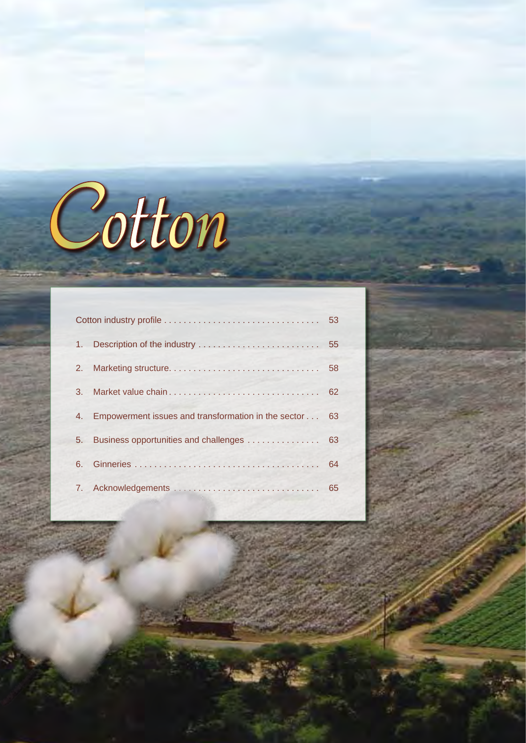

|                |                                                     | 55 |  |  |
|----------------|-----------------------------------------------------|----|--|--|
|                |                                                     | 58 |  |  |
| $\mathbf{3}$ . |                                                     | 62 |  |  |
| 4.             | Empowerment issues and transformation in the sector | 63 |  |  |
| 5.             | Business opportunities and challenges               | 63 |  |  |
| 6.             |                                                     | 64 |  |  |
|                |                                                     |    |  |  |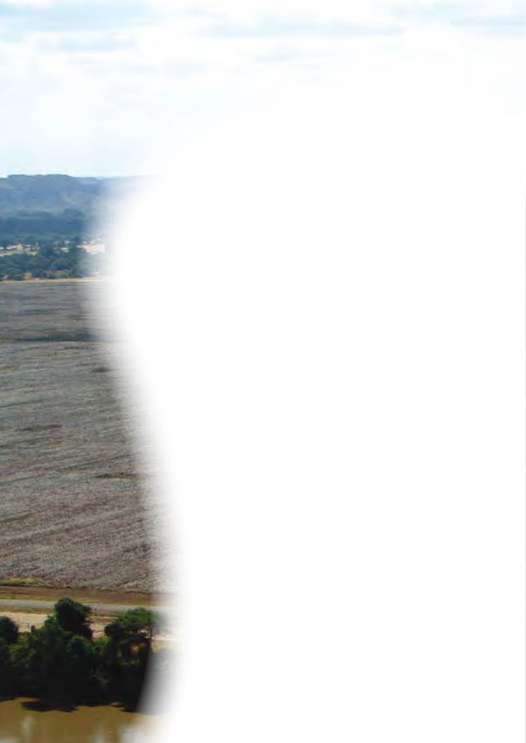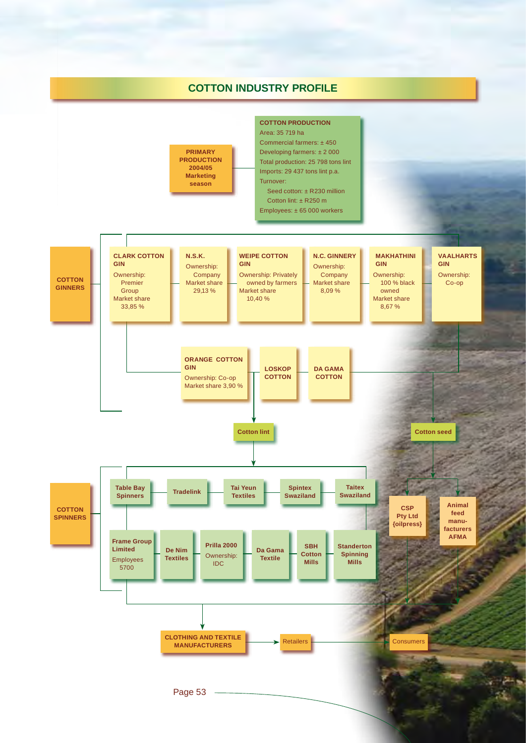## **COTTON INDUSTRY PROFILE**

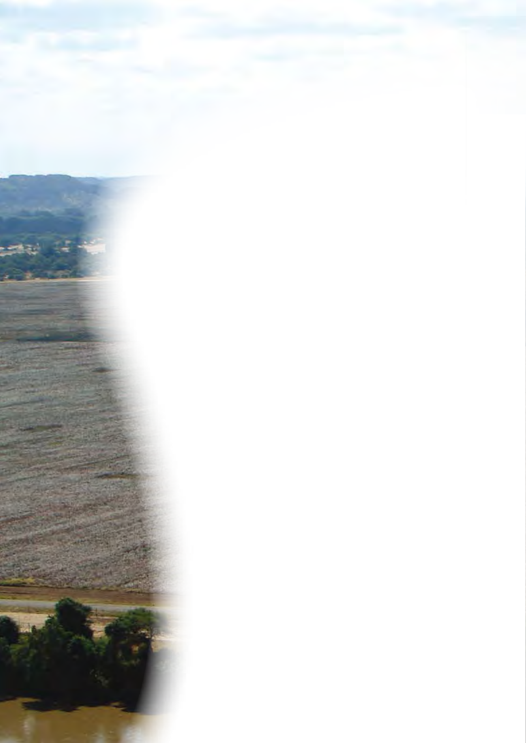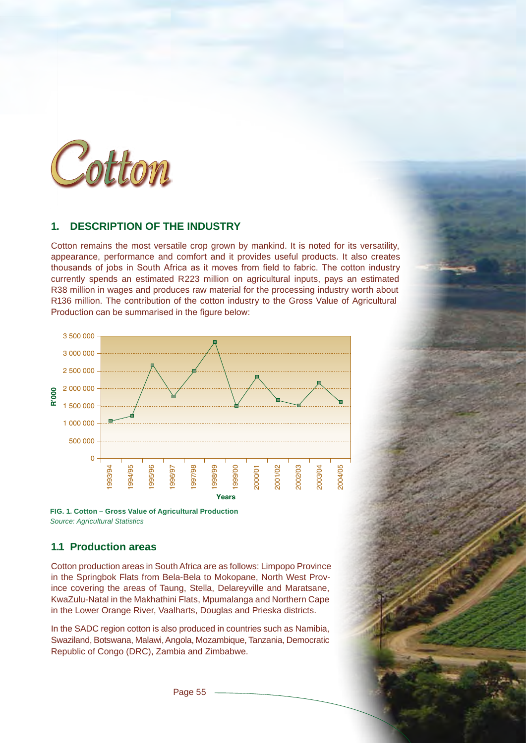

#### $\mathbf{1}$ **DESCRIPTION OF THE INDUSTRY**

Cotton remains the most versatile crop grown by mankind. It is noted for its versatility, appearance, performance and comfort and it provides useful products. It also creates thousands of jobs in South Africa as it moves from field to fabric. The cotton industry currently spends an estimated R223 million on agricultural inputs, pays an estimated R38 million in wages and produces raw material for the processing industry worth about R136 million. The contribution of the cotton industry to the Gross Value of Agricultural Production can be summarised in the figure below:



FIG. 1. Cotton - Gross Value of Agricultural Production **Source: Agricultural Statistics** 

## 1.1 Production areas

Cotton production areas in South Africa are as follows: Limpopo Province in the Springbok Flats from Bela-Bela to Mokopane, North West Province covering the areas of Taung, Stella, Delareyville and Maratsane, KwaZulu-Natal in the Makhathini Flats, Mpumalanga and Northern Cape in the Lower Orange River, Vaalharts, Douglas and Prieska districts.

In the SADC region cotton is also produced in countries such as Namibia, Swaziland, Botswana, Malawi, Angola, Mozambique, Tanzania, Democratic Republic of Congo (DRC), Zambia and Zimbabwe.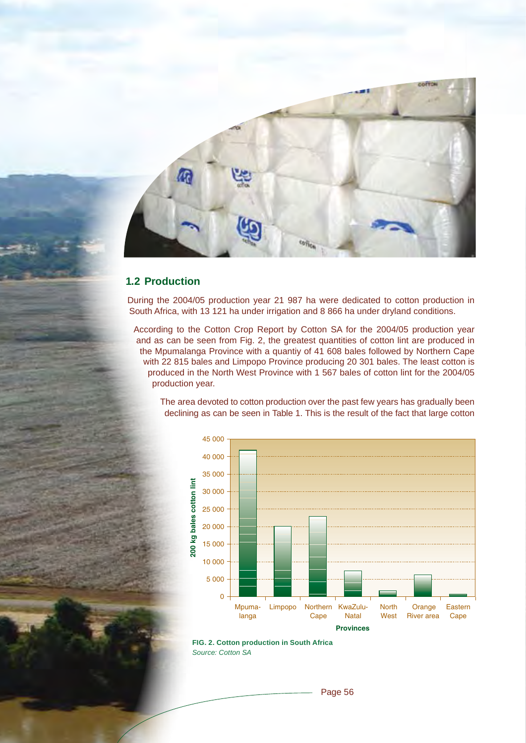

#### **1.2 Production**

During the 2004/05 production year 21 987 ha were dedicated to cotton production in South Africa, with 13 121 ha under irrigation and 8 866 ha under dryland conditions.

According to the Cotton Crop Report by Cotton SA for the 2004/05 production year and as can be seen from Fig. 2, the greatest quantities of cotton lint are produced in the Mpumalanga Province with a quantiy of 41 608 bales followed by Northern Cape with 22 815 bales and Limpopo Province producing 20 301 bales. The least cotton is produced in the North West Province with 1 567 bales of cotton lint for the 2004/05 production year.

The area devoted to cotton production over the past few years has gradually been declining as can be seen in Table 1. This is the result of the fact that large cotton



FIG. 2. Cotton production in South Africa Source: Cotton SA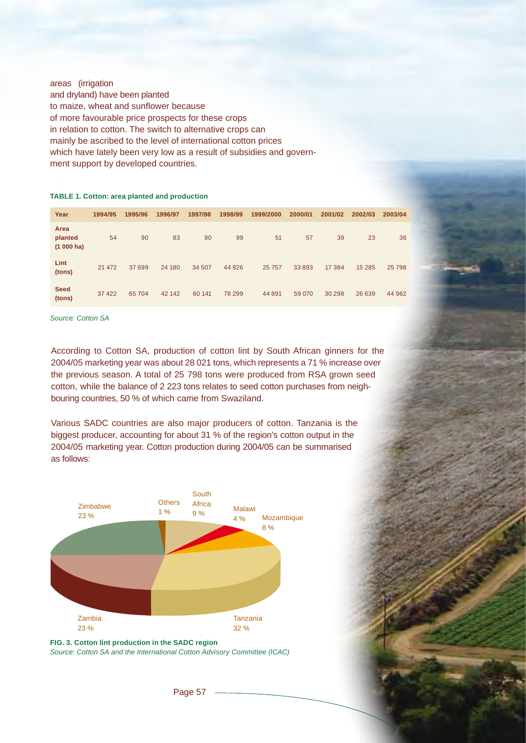areas (irrigation areas (irrigation and dryland) have been planted and have been planted to maize, wheat and sunflower because to maize, wheat and sunflower because of more favourable price prospects for these crops of more favourable price prospects for these crops<br>in relation to cotton. The switch to alternative crops can mainly be ascribed to the level of international cotton prices which have lately been very low as a result of subsidies and government support by developed countries.

#### **TABLE 1. Cotton: area planted and production**

| Year                          | 1994/95 | 1995/96 | 1996/97 | 1997/98 | 1998/99 | 1999/2000 | 2000/01 | 2001/02  | 2002/03  | 2003/04 |
|-------------------------------|---------|---------|---------|---------|---------|-----------|---------|----------|----------|---------|
| Area<br>planted<br>(1 000 ha) | 54      | 90      | 83      | 90      | 99      | 51        | 57      | 39       | 23       | 36      |
| Lint<br>(tons)                | 21 4 72 | 37 699  | 24 180  | 34 507  | 44 926  | 25 7 5 7  | 33 893  | 17 3 8 4 | 15 2 8 5 | 25 7 98 |
| <b>Seed</b><br>(tons)         | 37 4 22 | 65 704  | 42 142  | 60 141  | 78 299  | 44 891    | 59 070  | 30 298   | 26 639   | 44 962  |

*Source: Cotton SA*

According to Cotton SA, production of cotton lint by South African ginners for the 2004/05 marketing year was about 28 021 tons, which represents a 71 % increase over the previous season. A total of 25 798 tons were produced from RSA grown seed cotton, while the balance of 2 223 tons relates to seed cotton purchases from neighbouring countries, 50 % of which came from Swaziland.

Various SADC countries are also major producers of cotton. Tanzania is the biggest producer, accounting for about 31 % of the region's cotton output in the 2004/05 marketing year. Cotton production during 2004/05 can be summarised as follows:





Page 57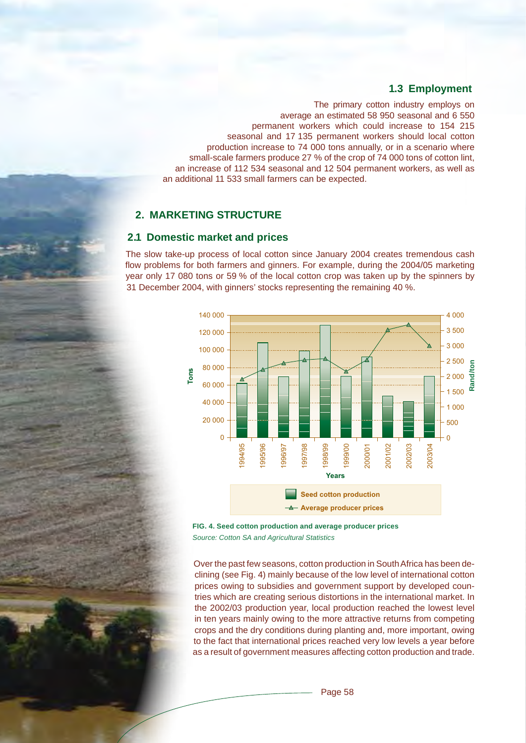#### 1.3 Employment

The primary cotton industry employs on average an estimated 58 950 seasonal and 6 550 permanent workers which could increase to 154 215 seasonal and 17 135 permanent workers should local cotton production increase to 74 000 tons annually, or in a scenario where small-scale farmers produce 27 % of the crop of 74 000 tons of cotton lint, an increase of 112 534 seasonal and 12 504 permanent workers, as well as an additional 11 533 small farmers can be expected.

#### **2. MARKETING STRUCTURE**

#### 2.1 Domestic market and prices

The slow take-up process of local cotton since January 2004 creates tremendous cash flow problems for both farmers and ginners. For example, during the 2004/05 marketing year only 17 080 tons or 59 % of the local cotton crop was taken up by the spinners by 31 December 2004, with ginners' stocks representing the remaining 40 %.





Over the past few seasons, cotton production in South Africa has been declining (see Fig. 4) mainly because of the low level of international cotton prices owing to subsidies and government support by developed countries which are creating serious distortions in the international market. In the 2002/03 production year, local production reached the lowest level in ten years mainly owing to the more attractive returns from competing crops and the dry conditions during planting and, more important, owing to the fact that international prices reached very low levels a year before as a result of government measures affecting cotton production and trade.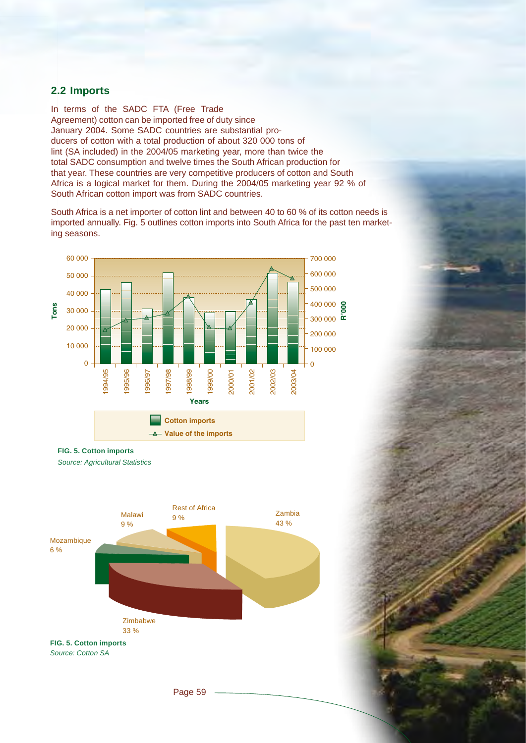#### 2.2 Imports

In terms of the SADC FTA (Free Trade Agreement) cotton can be imported free of duty since January 2004. Some SADC countries are substantial producers of cotton with a total production of about 320 000 tons of lint (SA included) in the 2004/05 marketing year, more than twice the total SADC consumption and twelve times the South African production for that year. These countries are very competitive producers of cotton and South Africa is a logical market for them. During the 2004/05 marketing year 92 % of South African cotton import was from SADC countries.

South Africa is a net importer of cotton lint and between 40 to 60 % of its cotton needs is imported annually. Fig. 5 outlines cotton imports into South Africa for the past ten marketing seasons.



FIG. 5. Cotton imports

**Source: Agricultural Statistics** 

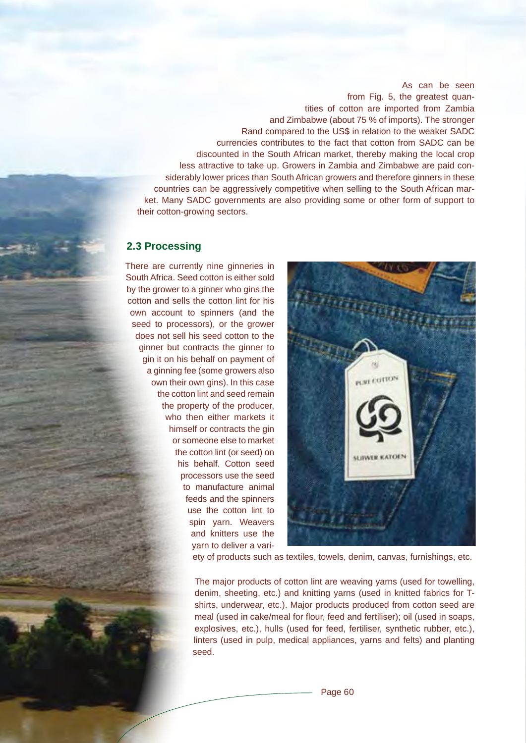As can be seen from Fig. 5, the greatest quantities of cotton are imported from Zambia and Zimbabwe (about 75 % of imports). The stronger Rand compared to the US\$ in relation to the weaker SADC currencies contributes to the fact that cotton from SADC can be discounted in the South African market, thereby making the local crop less attractive to take up. Growers in Zambia and Zimbabwe are paid considerably lower prices than South African growers and therefore ginners in these countries can be aggressively competitive when selling to the South African market. Many SADC governments are also providing some or other form of support to their cotton-growing sectors.

## **2.3 Processing**

There are currently nine ginneries in South Africa. Seed cotton is either sold by the grower to a ginner who gins the cotton and sells the cotton lint for his own account to spinners (and the seed to processors), or the grower does not sell his seed cotton to the ginner but contracts the ginner to gin it on his behalf on payment of a ginning fee (some growers also own their own gins). In this case the cotton lint and seed remain the property of the producer, who then either markets it himself or contracts the gin or someone else to market the cotton lint (or seed) on his behalf. Cotton seed processors use the seed to manufacture animal feeds and the spinners use the cotton lint to spin yarn. Weavers and knitters use the yarn to deliver a vari-



ety of products such as textiles, towels, denim, canvas, furnishings, etc.

The major products of cotton lint are weaving yarns (used for towelling, denim, sheeting, etc.) and knitting yarns (used in knitted fabrics for Tshirts, underwear, etc.). Major products produced from cotton seed are meal (used in cake/meal for flour, feed and fertiliser); oil (used in soaps, explosives, etc.), hulls (used for feed, fertiliser, synthetic rubber, etc.), linters (used in pulp, medical appliances, yarns and felts) and planting seed.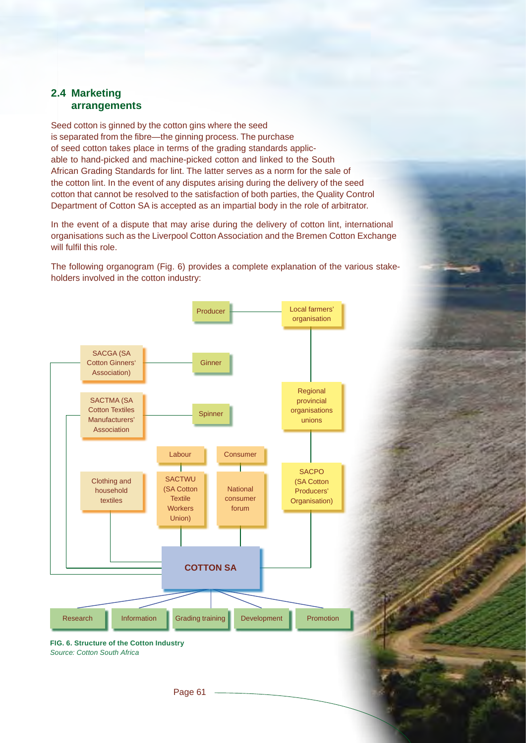## **2.4 Marketing arrangements**

Seed cotton is ginned by the cotton gins where the seed is separated from the fibre—the ginning process. The purchase of seed cotton takes place in terms of the grading standards applicable to hand-picked and machine-picked cotton and linked to the South African Grading Standards for lint. The latter serves as a norm for the sale of the cotton lint. In the event of any disputes arising during the delivery of the seed cotton that cannot be resolved to the satisfaction of both parties, the Quality Control Department of Cotton SA is accepted as an impartial body in the role of arbitrator.

In the event of a dispute that may arise during the delivery of cotton lint, international organisations such as the Liverpool Cotton Association and the Bremen Cotton Exchange will fulfil this role.

The following organogram (Fig. 6) provides a complete explanation of the various stakeholders involved in the cotton industry:

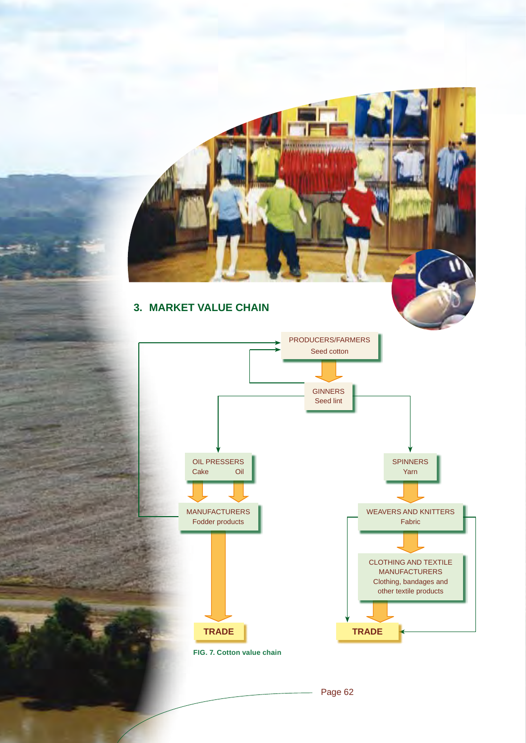**3. MARKET VALUE CHAIN**



Page 62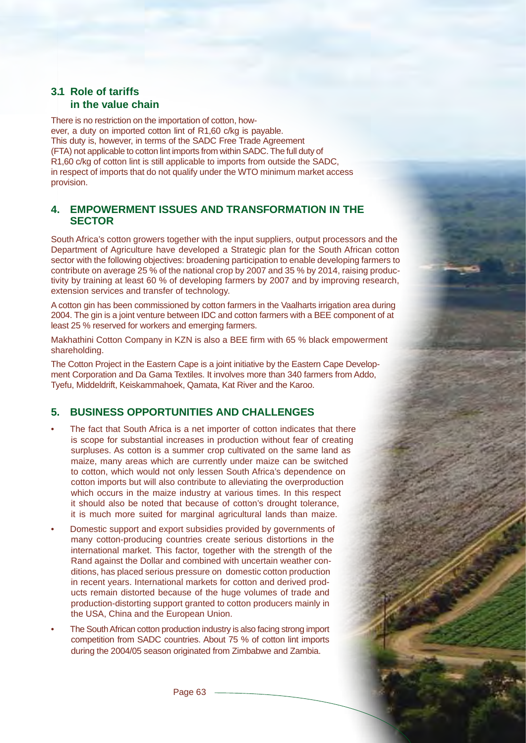#### **3.1 Role of tariffs in the value chain**

There is no restriction on the importation of cotton, however, a duty on imported cotton lint of R1,60 c/kg is payable. This duty is, however, in terms of the SADC Free Trade Agreement (FTA) not applicable to cotton lint imports from within SADC. The full duty of R1,60 c/kg of cotton lint is still applicable to imports from outside the SADC, in respect of imports that do not qualify under the WTO minimum market access provision.

## **4. EMPOWERMENT ISSUES AND TRANSFORMATION in the SECTOR**

South Africa's cotton growers together with the input suppliers, output processors and the Department of Agriculture have developed a Strategic plan for the South African cotton sector with the following objectives: broadening participation to enable developing farmers to contribute on average 25 % of the national crop by 2007 and 35 % by 2014, raising productivity by training at least 60 % of developing farmers by 2007 and by improving research, extension services and transfer of technology.

A cotton gin has been commissioned by cotton farmers in the Vaalharts irrigation area during 2004. The gin is a joint venture between IDC and cotton farmers with a BEE component of at least 25 % reserved for workers and emerging farmers.

Makhathini Cotton Company in KZN is also a BEE firm with 65 % black empowerment shareholding.

The Cotton Project in the Eastern Cape is a joint initiative by the Eastern Cape Development Corporation and Da Gama Textiles. It involves more than 340 farmers from Addo, Tyefu, Middeldrift, Keiskammahoek, Qamata, Kat River and the Karoo.

## **5. BUSINESS OPPORTUNITIES AND CHALLENGES**

- The fact that South Africa is a net importer of cotton indicates that there is scope for substantial increases in production without fear of creating surpluses. As cotton is a summer crop cultivated on the same land as maize, many areas which are currently under maize can be switched to cotton, which would not only lessen South Africa's dependence on cotton imports but will also contribute to alleviating the overproduction which occurs in the maize industry at various times. In this respect it should also be noted that because of cotton's drought tolerance, it is much more suited for marginal agricultural lands than maize.
- Domestic support and export subsidies provided by governments of many cotton-producing countries create serious distortions in the international market. This factor, together with the strength of the Rand against the Dollar and combined with uncertain weather conditions, has placed serious pressure on domestic cotton production in recent years. International markets for cotton and derived products remain distorted because of the huge volumes of trade and production-distorting support granted to cotton producers mainly in the USA, China and the European Union.
- The South African cotton production industry is also facing strong import competition from SADC countries. About 75 % of cotton lint imports during the 2004/05 season originated from Zimbabwe and Zambia.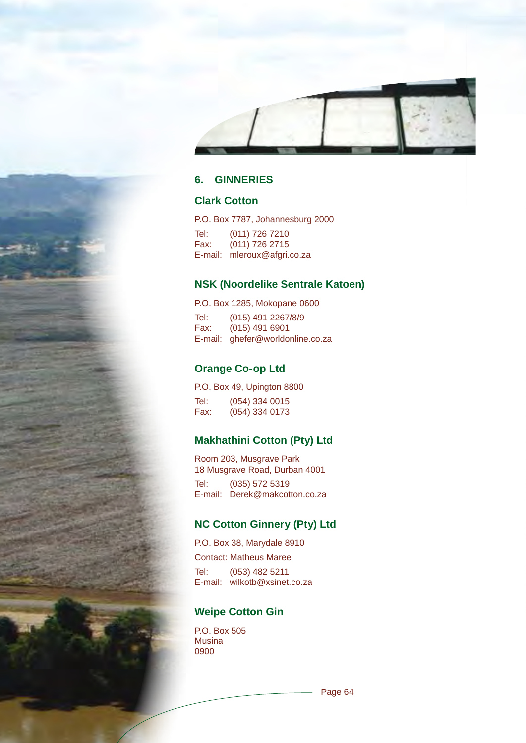

#### **6. GINNERIES**

#### **Clark Cotton**

P.O. Box 7787, Johannesburg 2000 Tel: (011) 726 7210 Fax: (011) 726 2715 E-mail: mleroux@afgri.co.za

#### **NSK (Noordelike Sentrale Katoen)**

P.O. Box 1285, Mokopane 0600 Tel: (015) 491 2267/8/9 Fax: (015) 491 6901 E-mail: ghefer@worldonline.co.za

#### **Orange Co-op Ltd**

P.O. Box 49, Upington 8800 Tel: (054) 334 0015<br>Fax: (054) 334 0173  $(054)$  334 0173

#### **Makhathini Cotton (Pty) Ltd**

Room 203, Musgrave Park 18 Musgrave Road, Durban 4001 Tel: (035) 572 5319 E-mail: Derek@makcotton.co.za

#### **NC Cotton Ginnery (Pty) Ltd**

P.O. Box 38, Marydale 8910 Contact: Matheus Maree Tel: (053) 482 5211 E-mail: wilkotb@xsinet.co.za

#### **Weipe Cotton Gin**

P.O. Box 505 Musina 0900

Page 64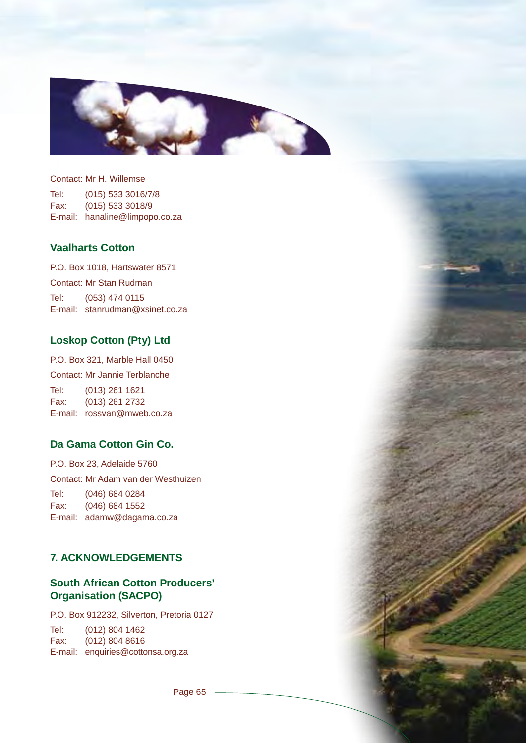

Contact: Mr H. Willemse

Tel: (015) 533 3016/7/8 Fax: (015) 533 3018/9 E-mail: hanaline@limpopo.co.za

## **Vaalharts Cotton**

P.O. Box 1018, Hartswater 8571 Contact: Mr Stan Rudman Tel: (053) 474 0115 E-mail: stanrudman@xsinet.co.za

## **Loskop Cotton (Pty) Ltd**

P.O. Box 321, Marble Hall 0450 Contact: Mr Jannie Terblanche Tel: (013) 261 1621

Fax: (013) 261 2732 E-mail: rossvan@mweb.co.za

## **Da Gama Cotton Gin Co.**

P.O. Box 23, Adelaide 5760 Contact: Mr Adam van der Westhuizen Tel: (046) 684 0284 Fax: (046) 684 1552 E-mail: adamw@dagama.co.za

# **7. AcknowledgementS**

## **South African Cotton Producers' Organisation (SACPO)**

P.O. Box 912232, Silverton, Pretoria 0127

Tel: (012) 804 1462 Fax: (012) 804 8616 E-mail: enquiries@cottonsa.org.za